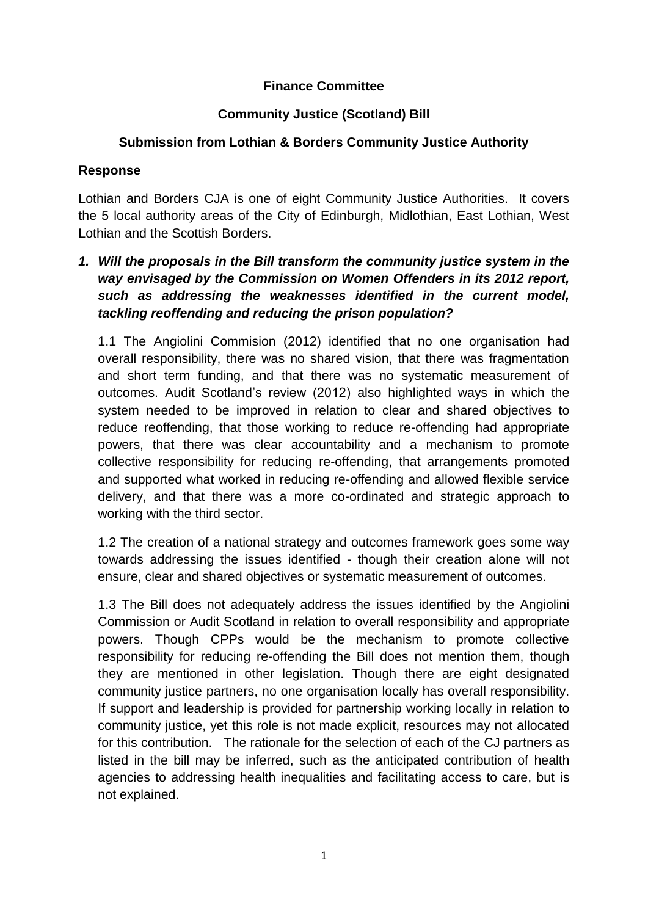## **Finance Committee**

## **Community Justice (Scotland) Bill**

## **Submission from Lothian & Borders Community Justice Authority**

#### **Response**

Lothian and Borders CJA is one of eight Community Justice Authorities. It covers the 5 local authority areas of the City of Edinburgh, Midlothian, East Lothian, West Lothian and the Scottish Borders.

*1. Will the proposals in the Bill transform the community justice system in the way envisaged by the Commission on Women Offenders in its 2012 report, such as addressing the weaknesses identified in the current model, tackling reoffending and reducing the prison population?*

1.1 The Angiolini Commision (2012) identified that no one organisation had overall responsibility, there was no shared vision, that there was fragmentation and short term funding, and that there was no systematic measurement of outcomes. Audit Scotland's review (2012) also highlighted ways in which the system needed to be improved in relation to clear and shared objectives to reduce reoffending, that those working to reduce re-offending had appropriate powers, that there was clear accountability and a mechanism to promote collective responsibility for reducing re-offending, that arrangements promoted and supported what worked in reducing re-offending and allowed flexible service delivery, and that there was a more co-ordinated and strategic approach to working with the third sector.

1.2 The creation of a national strategy and outcomes framework goes some way towards addressing the issues identified - though their creation alone will not ensure, clear and shared objectives or systematic measurement of outcomes.

1.3 The Bill does not adequately address the issues identified by the Angiolini Commission or Audit Scotland in relation to overall responsibility and appropriate powers. Though CPPs would be the mechanism to promote collective responsibility for reducing re-offending the Bill does not mention them, though they are mentioned in other legislation. Though there are eight designated community justice partners, no one organisation locally has overall responsibility. If support and leadership is provided for partnership working locally in relation to community justice, yet this role is not made explicit, resources may not allocated for this contribution. The rationale for the selection of each of the CJ partners as listed in the bill may be inferred, such as the anticipated contribution of health agencies to addressing health inequalities and facilitating access to care, but is not explained.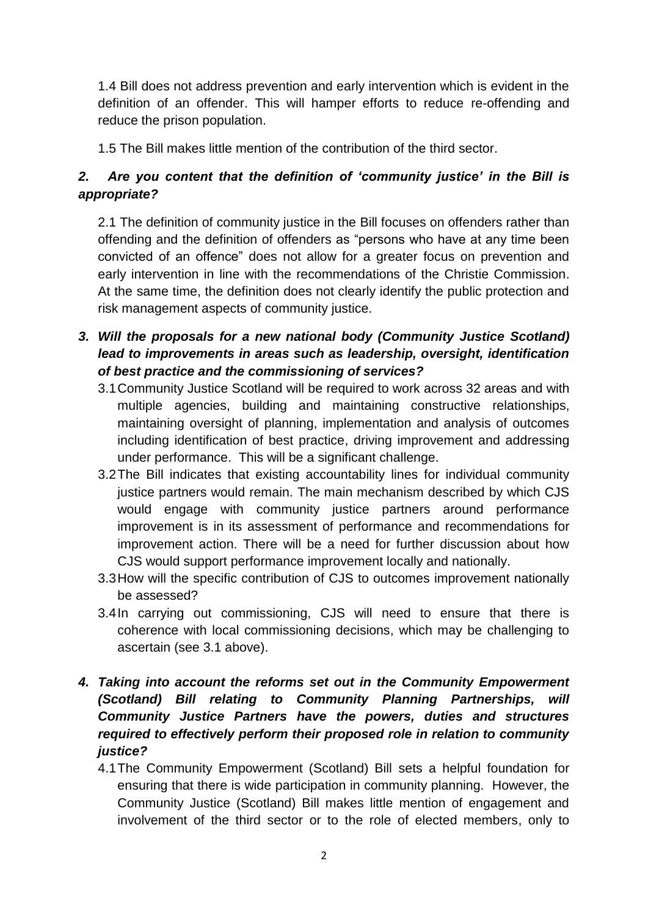1.4 Bill does not address prevention and early intervention which is evident in the definition of an offender. This will hamper efforts to reduce re-offending and reduce the prison population.

1.5 The Bill makes little mention of the contribution of the third sector.

# *2. Are you content that the definition of 'community justice' in the Bill is appropriate?*

2.1 The definition of community justice in the Bill focuses on offenders rather than offending and the definition of offenders as "persons who have at any time been convicted of an offence" does not allow for a greater focus on prevention and early intervention in line with the recommendations of the Christie Commission. At the same time, the definition does not clearly identify the public protection and risk management aspects of community justice.

- *3. Will the proposals for a new national body (Community Justice Scotland) lead to improvements in areas such as leadership, oversight, identification of best practice and the commissioning of services?*
	- 3.1Community Justice Scotland will be required to work across 32 areas and with multiple agencies, building and maintaining constructive relationships, maintaining oversight of planning, implementation and analysis of outcomes including identification of best practice, driving improvement and addressing under performance. This will be a significant challenge.
	- 3.2The Bill indicates that existing accountability lines for individual community justice partners would remain. The main mechanism described by which CJS would engage with community justice partners around performance improvement is in its assessment of performance and recommendations for improvement action. There will be a need for further discussion about how CJS would support performance improvement locally and nationally.
	- 3.3How will the specific contribution of CJS to outcomes improvement nationally be assessed?
	- 3.4In carrying out commissioning, CJS will need to ensure that there is coherence with local commissioning decisions, which may be challenging to ascertain (see 3.1 above).

# *4. Taking into account the reforms set out in the Community Empowerment (Scotland) Bill relating to Community Planning Partnerships, will Community Justice Partners have the powers, duties and structures required to effectively perform their proposed role in relation to community justice?*

4.1The Community Empowerment (Scotland) Bill sets a helpful foundation for ensuring that there is wide participation in community planning. However, the Community Justice (Scotland) Bill makes little mention of engagement and involvement of the third sector or to the role of elected members, only to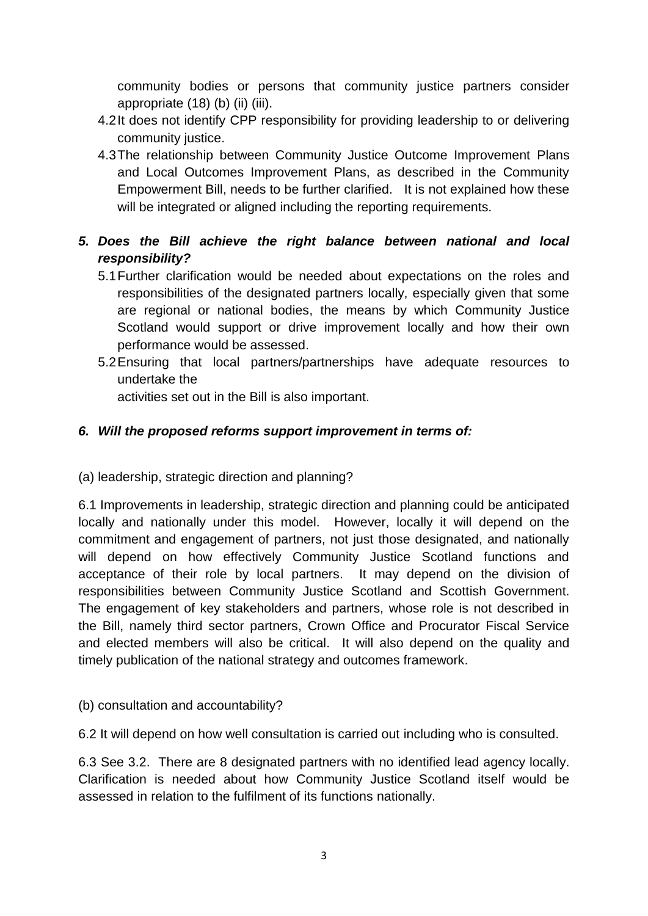community bodies or persons that community justice partners consider appropriate (18) (b) (ii) (iii).

- 4.2It does not identify CPP responsibility for providing leadership to or delivering community justice.
- 4.3The relationship between Community Justice Outcome Improvement Plans and Local Outcomes Improvement Plans, as described in the Community Empowerment Bill, needs to be further clarified. It is not explained how these will be integrated or aligned including the reporting requirements.
- *5. Does the Bill achieve the right balance between national and local responsibility?*
	- 5.1Further clarification would be needed about expectations on the roles and responsibilities of the designated partners locally, especially given that some are regional or national bodies, the means by which Community Justice Scotland would support or drive improvement locally and how their own performance would be assessed.
	- 5.2Ensuring that local partners/partnerships have adequate resources to undertake the

activities set out in the Bill is also important.

#### *6. Will the proposed reforms support improvement in terms of:*

(a) leadership, strategic direction and planning?

6.1 Improvements in leadership, strategic direction and planning could be anticipated locally and nationally under this model. However, locally it will depend on the commitment and engagement of partners, not just those designated, and nationally will depend on how effectively Community Justice Scotland functions and acceptance of their role by local partners. It may depend on the division of responsibilities between Community Justice Scotland and Scottish Government. The engagement of key stakeholders and partners, whose role is not described in the Bill, namely third sector partners, Crown Office and Procurator Fiscal Service and elected members will also be critical. It will also depend on the quality and timely publication of the national strategy and outcomes framework.

#### (b) consultation and accountability?

6.2 It will depend on how well consultation is carried out including who is consulted.

6.3 See 3.2. There are 8 designated partners with no identified lead agency locally. Clarification is needed about how Community Justice Scotland itself would be assessed in relation to the fulfilment of its functions nationally.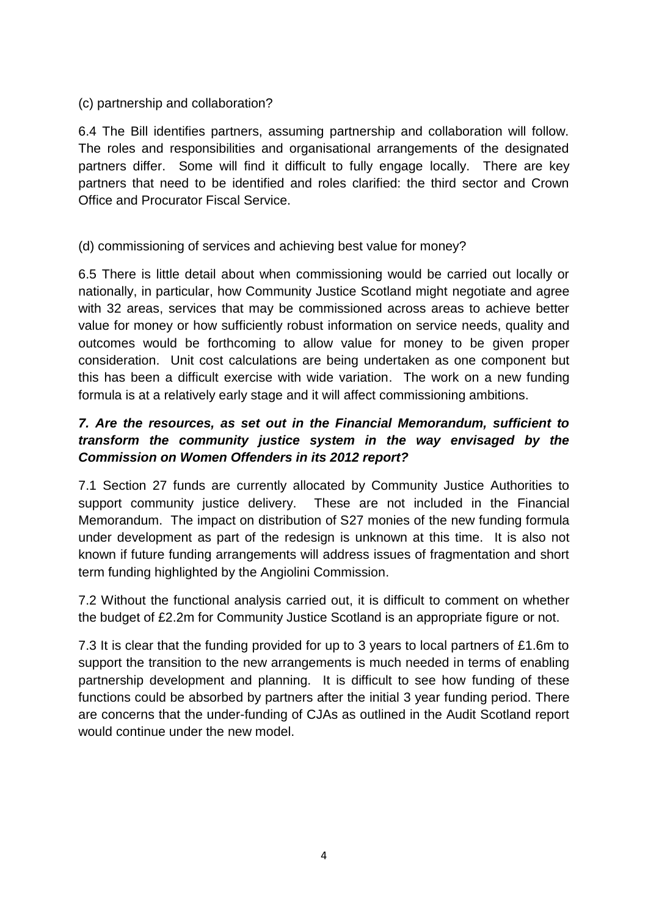#### (c) partnership and collaboration?

6.4 The Bill identifies partners, assuming partnership and collaboration will follow. The roles and responsibilities and organisational arrangements of the designated partners differ. Some will find it difficult to fully engage locally. There are key partners that need to be identified and roles clarified: the third sector and Crown Office and Procurator Fiscal Service.

#### (d) commissioning of services and achieving best value for money?

6.5 There is little detail about when commissioning would be carried out locally or nationally, in particular, how Community Justice Scotland might negotiate and agree with 32 areas, services that may be commissioned across areas to achieve better value for money or how sufficiently robust information on service needs, quality and outcomes would be forthcoming to allow value for money to be given proper consideration. Unit cost calculations are being undertaken as one component but this has been a difficult exercise with wide variation. The work on a new funding formula is at a relatively early stage and it will affect commissioning ambitions.

# *7. Are the resources, as set out in the Financial Memorandum, sufficient to transform the community justice system in the way envisaged by the Commission on Women Offenders in its 2012 report?*

7.1 Section 27 funds are currently allocated by Community Justice Authorities to support community justice delivery. These are not included in the Financial Memorandum. The impact on distribution of S27 monies of the new funding formula under development as part of the redesign is unknown at this time. It is also not known if future funding arrangements will address issues of fragmentation and short term funding highlighted by the Angiolini Commission.

7.2 Without the functional analysis carried out, it is difficult to comment on whether the budget of £2.2m for Community Justice Scotland is an appropriate figure or not.

7.3 It is clear that the funding provided for up to 3 years to local partners of £1.6m to support the transition to the new arrangements is much needed in terms of enabling partnership development and planning. It is difficult to see how funding of these functions could be absorbed by partners after the initial 3 year funding period. There are concerns that the under-funding of CJAs as outlined in the Audit Scotland report would continue under the new model.